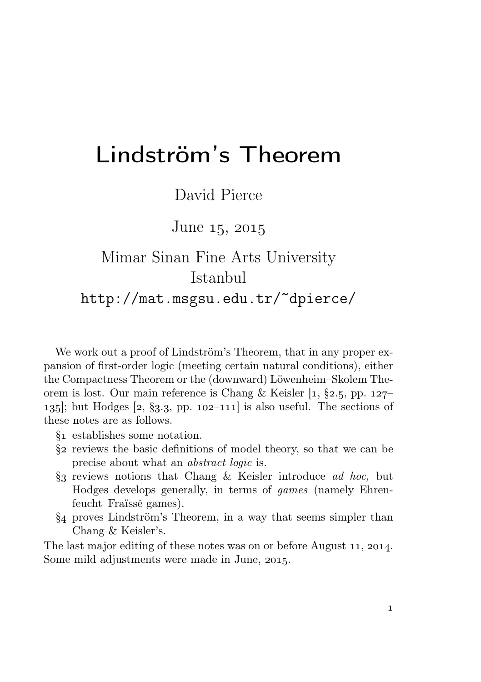# Lindström's Theorem

David Pierce

June 15, 2015

# Mimar Sinan Fine Arts University Istanbul

# http://mat.msgsu.edu.tr/~dpierce/

We work out a proof of Lindström's Theorem, that in any proper expansion of first-order logic (meeting certain natural conditions), either the Compactness Theorem or the (downward) Löwenheim–Skolem Theorem is lost. Our main reference is Chang & Keisler  $\left[1, \frac{82.5}{127}\right]$ 135. but Hodges  $[2, \S_{3,3}, \text{pp. } 102-111]$  is also useful. The sections of these notes are as follows.

- § establishes some notation.
- § reviews the basic definitions of model theory, so that we can be precise about what an abstract logic is.
- § reviews notions that Chang & Keisler introduce ad hoc, but Hodges develops generally, in terms of games (namely Ehrenfeucht–Fraïssé games).
- § proves Lindström's Theorem, in a way that seems simpler than Chang & Keisler's.

The last major editing of these notes was on or before August 11, 2014. Some mild adjustments were made in June, 2015.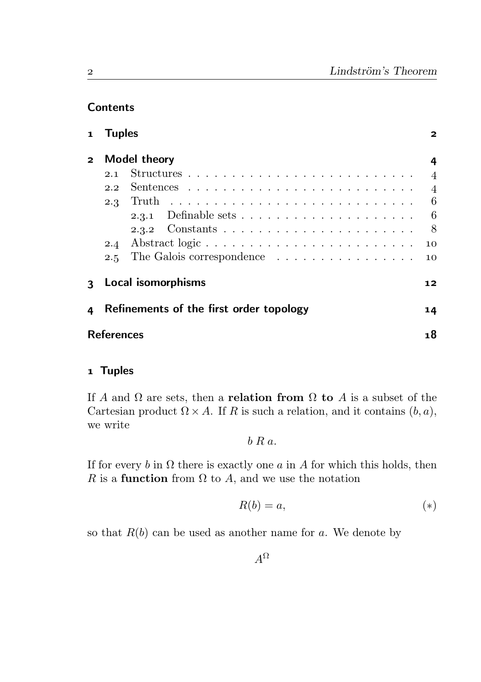# **Contents**

| $\mathbf{1}$ | <b>Tuples</b>                                                    | $\mathbf{2}$   |
|--------------|------------------------------------------------------------------|----------------|
|              | Model theory                                                     | 4              |
|              | 2.1                                                              | $\overline{4}$ |
|              | $2.2^{\circ}$                                                    | $\overline{4}$ |
|              | 2.3                                                              | - 6            |
|              | 2.3.1 Definable sets $\ldots \ldots \ldots \ldots \ldots \ldots$ | - 6            |
|              |                                                                  | - 8            |
|              | 2.4                                                              | 10             |
|              | The Galois correspondence<br>2.5                                 | 10             |
|              | 3 Local isomorphisms                                             | 12             |
| 4            | Refinements of the first order topology                          | 14             |
|              | <b>References</b>                                                | 18             |
|              |                                                                  |                |

# 1 Tuples

If A and  $\Omega$  are sets, then a **relation from**  $\Omega$  to A is a subset of the Cartesian product  $\Omega \times A$ . If R is such a relation, and it contains  $(b, a)$ , we write

 $b \, R \, a$ .

If for every b in  $\Omega$  there is exactly one a in A for which this holds, then R is a function from  $\Omega$  to A, and we use the notation

$$
R(b) = a,\t\t(*)
$$

so that  $R(b)$  can be used as another name for a. We denote by

 $A^{\Omega}$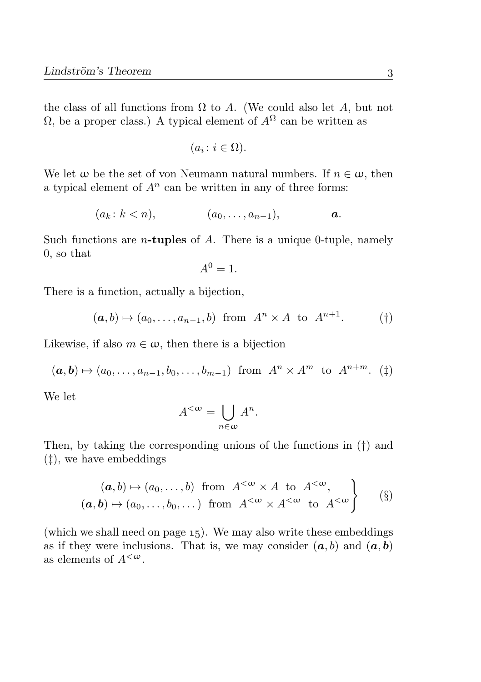the class of all functions from  $\Omega$  to A. (We could also let A, but not  $Ω$ , be a proper class.) A typical element of  $A<sup>Ω</sup>$  can be written as

$$
(a_i \colon i \in \Omega).
$$

We let  $\omega$  be the set of von Neumann natural numbers. If  $n \in \omega$ , then a typical element of  $A<sup>n</sup>$  can be written in any of three forms:

$$
(a_k: k < n), \quad (a_0, \ldots, a_{n-1}), \quad a.
$$

Such functions are *n*-tuples of  $A$ . There is a unique 0-tuple, namely 0, so that

$$
A^0=1.
$$

There is a function, actually a bijection,

$$
(\mathbf{a},b) \mapsto (a_0,\ldots,a_{n-1},b) \text{ from } A^n \times A \text{ to } A^{n+1}.\tag{\dagger}
$$

Likewise, if also  $m \in \omega$ , then there is a bijection

$$
(\boldsymbol{a},\boldsymbol{b}) \mapsto (a_0,\ldots,a_{n-1},b_0,\ldots,b_{m-1})
$$
 from  $A^n \times A^m$  to  $A^{n+m}$ . (†)

We let

$$
A^{<\omega} = \bigcup_{n \in \omega} A^n.
$$

Then, by taking the corresponding unions of the functions in (†) and (‡), we have embeddings

$$
(\mathbf{a},\mathbf{b}) \mapsto (a_0,\ldots,\mathbf{b}) \text{ from } A^{<\omega} \times A \text{ to } A^{<\omega},
$$
  

$$
(\mathbf{a},\mathbf{b}) \mapsto (a_0,\ldots,b_0,\ldots) \text{ from } A^{<\omega} \times A^{<\omega} \text{ to } A^{<\omega} \}
$$
 (§)

(which we shall need on page  $15$ ). We may also write these embeddings as if they were inclusions. That is, we may consider  $(a, b)$  and  $(a, b)$ as elements of  $A^{<\omega}$ .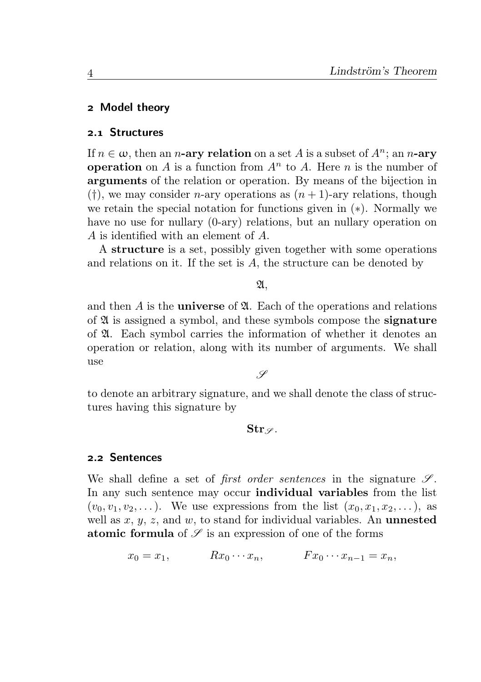#### Model theory

## . Structures

If  $n \in \omega$ , then an *n*-ary relation on a set A is a subset of  $A^n$ ; an *n*-ary **operation** on A is a function from  $A^n$  to A. Here n is the number of arguments of the relation or operation. By means of the bijection in (†), we may consider *n*-ary operations as  $(n + 1)$ -ary relations, though we retain the special notation for functions given in (∗). Normally we have no use for nullary (0-ary) relations, but an nullary operation on A is identified with an element of A.

A structure is a set, possibly given together with some operations and relations on it. If the set is A, the structure can be denoted by

 $\mathfrak A$ .

and then  $A$  is the **universe** of  $\mathfrak{A}$ . Each of the operations and relations of A is assigned a symbol, and these symbols compose the signature of A. Each symbol carries the information of whether it denotes an operation or relation, along with its number of arguments. We shall use

S

to denote an arbitrary signature, and we shall denote the class of structures having this signature by

#### $\text{Str } \varphi$ .

#### . Sentences

We shall define a set of *first order sentences* in the signature  $\mathscr{S}$ . In any such sentence may occur individual variables from the list  $(v_0, v_1, v_2, \dots)$ . We use expressions from the list  $(x_0, x_1, x_2, \dots)$ , as well as  $x, y, z$ , and  $w$ , to stand for individual variables. An **unnested** atomic formula of  $\mathscr S$  is an expression of one of the forms

$$
x_0 = x_1, \qquad Rx_0 \cdots x_n, \qquad Fx_0 \cdots x_{n-1} = x_n,
$$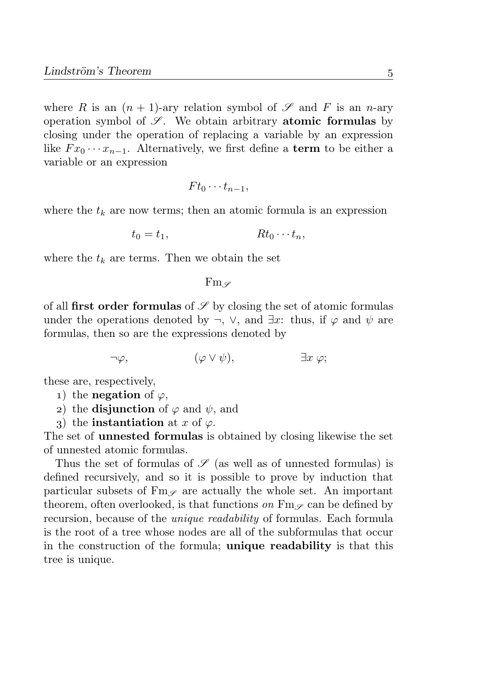where R is an  $(n + 1)$ -ary relation symbol of  $\mathscr S$  and F is an n-ary operation symbol of  $\mathscr{S}$ . We obtain arbitrary **atomic formulas** by closing under the operation of replacing a variable by an expression like  $Fx_0 \cdots x_{n-1}$ . Alternatively, we first define a term to be either a variable or an expression

$$
F t_0 \cdots t_{n-1},
$$

where the  $t_k$  are now terms; then an atomic formula is an expression

$$
t_0 = t_1, \qquad R t_0 \cdots t_n,
$$

where the  $t_k$  are terms. Then we obtain the set

 $\mathrm{Fm}_{\mathscr{S}}$ 

of all first order formulas of  $\mathscr S$  by closing the set of atomic formulas under the operations denoted by  $\neg$ ,  $\vee$ , and  $\exists x$ : thus, if  $\varphi$  and  $\psi$  are formulas, then so are the expressions denoted by

 $\neg \varphi$ ,  $(\varphi \vee \psi)$ ,  $\exists x \varphi$ ;

these are, respectively,

- 1) the **negation** of  $\varphi$ ,
- 2) the **disjunction** of  $\varphi$  and  $\psi$ , and
- 3) the **instantiation** at x of  $\varphi$ .

The set of unnested formulas is obtained by closing likewise the set of unnested atomic formulas.

Thus the set of formulas of  $\mathscr S$  (as well as of unnested formulas) is defined recursively, and so it is possible to prove by induction that particular subsets of  $\text{Fm}_{\mathscr{S}}$  are actually the whole set. An important theorem, often overlooked, is that functions on  $\text{Fm}_{\mathscr{S}}$  can be defined by recursion, because of the unique readability of formulas. Each formula is the root of a tree whose nodes are all of the subformulas that occur in the construction of the formula; unique readability is that this tree is unique.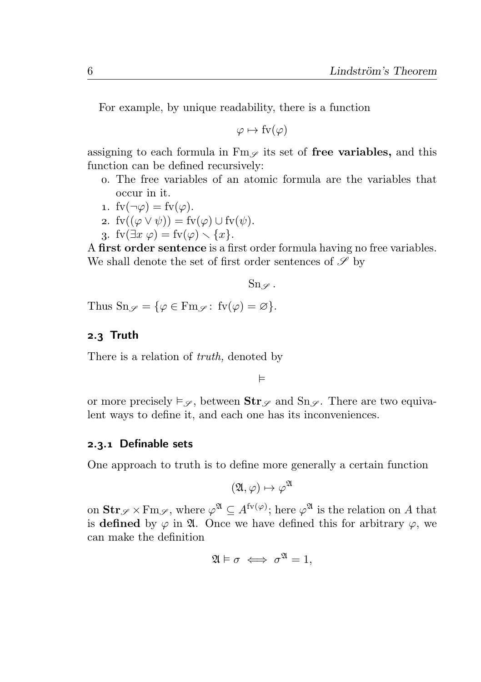For example, by unique readability, there is a function

 $\varphi \mapsto \mathrm{fv}(\varphi)$ 

assigning to each formula in  $Fm\ll \rho$  its set of free variables, and this function can be defined recursively:

- . The free variables of an atomic formula are the variables that occur in it.
- 1.  $f_V(\neg \varphi) = f_V(\varphi)$ .
- 2.  $f_V((\varphi \vee \psi)) = f_V(\varphi) \cup f_V(\psi)$ .
- 3. fv $(\exists x \varphi) =$  fv $(\varphi) \setminus \{x\}.$

A first order sentence is a first order formula having no free variables. We shall denote the set of first order sentences of  $\mathscr S$  by

 $\mathrm{Sn} \varphi$ .

Thus  $\text{Sn}_{\mathscr{S}} = {\varphi \in \text{Fm}_{\mathscr{S}}: \text{fv}(\varphi) = \varnothing}.$ 

# 2.3 Truth

There is a relation of *truth*, denoted by

 $\equiv$ 

or more precisely  $\vDash \varphi$ , between  $\text{Str}\varphi$  and  $\text{Sn}\varphi$ . There are two equivalent ways to define it, and each one has its inconveniences.

## 2.3.1 Definable sets

One approach to truth is to define more generally a certain function

 $(\mathfrak{A}, \varphi) \mapsto \varphi^{\mathfrak{A}}$ 

on  $\text{Str}_{\mathscr{S}} \times \text{Fm}_{\mathscr{S}}$ , where  $\varphi^{\mathfrak{A}} \subseteq A^{\text{fv}(\varphi)}$ ; here  $\varphi^{\mathfrak{A}}$  is the relation on A that is defined by  $\varphi$  in  $\mathfrak{A}$ . Once we have defined this for arbitrary  $\varphi$ , we can make the definition

$$
\mathfrak{A}\vDash \sigma\iff \sigma^{\mathfrak{A}}=1,
$$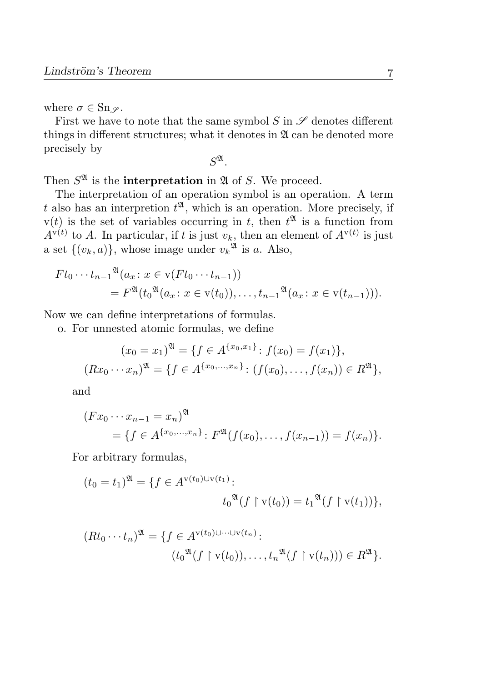where  $\sigma \in \text{Sn}_{\mathscr{D}}$ .

First we have to note that the same symbol  $S$  in  $\mathscr S$  denotes different things in different structures; what it denotes in  $\mathfrak{A}$  can be denoted more precisely by

 $S^{\mathfrak{A}}.$ 

Then  $S^{\mathfrak{A}}$  is the **interpretation** in  $\mathfrak{A}$  of S. We proceed.

The interpretation of an operation symbol is an operation. A term t also has an interpretion  $t^{\mathfrak{A}},$  which is an operation. More precisely, if  $v(t)$  is the set of variables occurring in t, then  $t^{\mathfrak{A}}$  is a function from  $A^{\mathbf{v}(t)}$  to A. In particular, if t is just  $v_k$ , then an element of  $A^{\mathbf{v}(t)}$  is just a set  $\{(v_k, a)\}\)$ , whose image under  $v_k^{\mathfrak{A}}$  is a. Also,

$$
Ft_0 \cdots t_{n-1}^{24}(a_x : x \in \mathbf{v}(Ft_0 \cdots t_{n-1}))
$$
  
=  $F^{24}(t_0^{24}(a_x : x \in \mathbf{v}(t_0)), \dots, t_{n-1}^{24}(a_x : x \in \mathbf{v}(t_{n-1}))).$ 

Now we can define interpretations of formulas.

. For unnested atomic formulas, we define

$$
(x_0 = x_1)^{\mathfrak{A}} = \{ f \in A^{\{x_0, x_1\}} : f(x_0) = f(x_1) \},
$$
  

$$
(Rx_0 \cdots x_n)^{\mathfrak{A}} = \{ f \in A^{\{x_0, \dots, x_n\}} : (f(x_0), \dots, f(x_n)) \in R^{\mathfrak{A}} \},
$$

and

$$
(Fx_0 \cdots x_{n-1} = x_n)^{\mathfrak{A}} \\
= \{f \in A^{\{x_0, \ldots, x_n\}} : F^{\mathfrak{A}}(f(x_0), \ldots, f(x_{n-1})) = f(x_n)\}.
$$

For arbitrary formulas,

$$
(t_0 = t_1)^{\mathfrak{A}} = \{ f \in A^{\mathbf{v}(t_0) \cup \mathbf{v}(t_1)} : \\ t_0^{\mathfrak{A}}(f \upharpoonright \mathbf{v}(t_0)) = t_1^{\mathfrak{A}}(f \upharpoonright \mathbf{v}(t_1)) \},
$$

$$
(Rt_0 \cdots t_n)^{\mathfrak{A}} = \{ f \in A^{\mathbf{v}(t_0) \cup \cdots \cup \mathbf{v}(t_n)} : \\ (t_0^{\mathfrak{A}}(f \upharpoonright \mathbf{v}(t_0)), \dots, t_n^{\mathfrak{A}}(f \upharpoonright \mathbf{v}(t_n))) \in R^{\mathfrak{A}} \}.
$$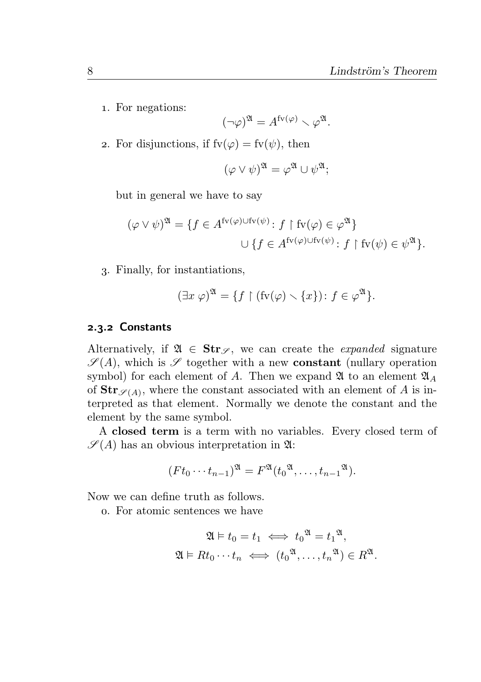. For negations:

$$
(\neg \varphi)^{\mathfrak{A}} = A^{\mathrm{fv}(\varphi)} \smallsetminus \varphi^{\mathfrak{A}}.
$$

2. For disjunctions, if  $fv(\varphi) = fv(\psi)$ , then

$$
(\varphi \vee \psi)^{\mathfrak{A}} = \varphi^{\mathfrak{A}} \cup \psi^{\mathfrak{A}};
$$

but in general we have to say

$$
(\varphi \vee \psi)^{\mathfrak{A}} = \{ f \in A^{\mathrm{fv}(\varphi) \cup \mathrm{fv}(\psi)} : f \upharpoonright \mathrm{fv}(\varphi) \in \varphi^{\mathfrak{A}} \}
$$

$$
\cup \{ f \in A^{\mathrm{fv}(\varphi) \cup \mathrm{fv}(\psi)} : f \upharpoonright \mathrm{fv}(\psi) \in \psi^{\mathfrak{A}} \}.
$$

. Finally, for instantiations,

$$
(\exists x \ \varphi)^{\mathfrak{A}} = \{ f \restriction (\mathrm{fv}(\varphi) \smallsetminus \{x\}) \colon f \in \varphi^{\mathfrak{A}} \}.
$$

### 2.3.2 Constants

Alternatively, if  $\mathfrak{A} \in \mathbf{Str}_{\mathscr{S}}$ , we can create the *expanded* signature  $\mathscr{S}(A)$ , which is  $\mathscr{S}$  together with a new **constant** (nullary operation symbol) for each element of A. Then we expand  $\mathfrak A$  to an element  $\mathfrak A_A$ of  $\text{Str}_{\mathscr{S}(A)}$ , where the constant associated with an element of A is interpreted as that element. Normally we denote the constant and the element by the same symbol.

A closed term is a term with no variables. Every closed term of  $\mathscr{S}(A)$  has an obvious interpretation in  $\mathfrak{A}$ :

$$
(Ft_0\cdots t_{n-1})^{\mathfrak{A}} = F^{\mathfrak{A}}(t_0^{\mathfrak{A}}, \ldots, t_{n-1}^{\mathfrak{A}}).
$$

Now we can define truth as follows.

. For atomic sentences we have

$$
\mathfrak{A} \vDash t_0 = t_1 \iff t_0^{\mathfrak{A}} = t_1^{\mathfrak{A}},
$$
  

$$
\mathfrak{A} \vDash Rt_0 \cdots t_n \iff (t_0^{\mathfrak{A}}, \dots, t_n^{\mathfrak{A}}) \in R^{\mathfrak{A}}.
$$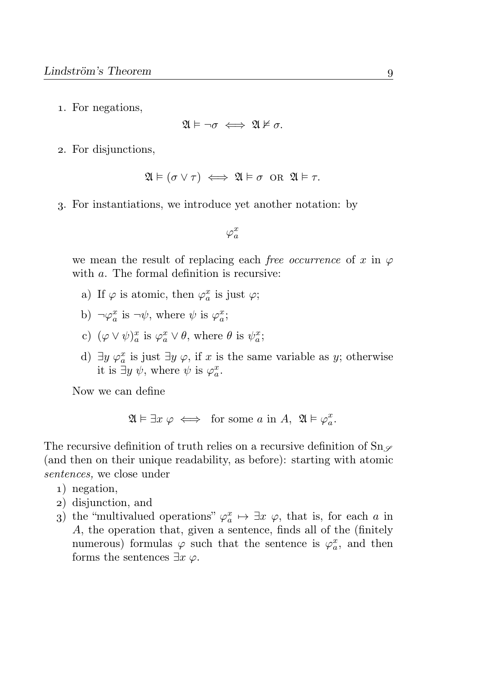. For negations,

$$
\mathfrak{A}\vDash\neg\sigma\iff\mathfrak{A}\nvDash\sigma.
$$

. For disjunctions,

$$
\mathfrak{A} \models (\sigma \vee \tau) \iff \mathfrak{A} \models \sigma \text{ or } \mathfrak{A} \models \tau.
$$

. For instantiations, we introduce yet another notation: by

$$
\varphi_a^x
$$

we mean the result of replacing each *free occurrence* of x in  $\varphi$ with a. The formal definition is recursive:

- a) If  $\varphi$  is atomic, then  $\varphi_a^x$  is just  $\varphi$ ;
- b)  $\neg \varphi_a^x$  is  $\neg \psi$ , where  $\psi$  is  $\varphi_a^x$ ;
- c)  $(\varphi \vee \psi)_a^x$  is  $\varphi_a^x \vee \theta$ , where  $\theta$  is  $\psi_a^x$ ;
- d)  $\exists y \varphi_a^x$  is just  $\exists y \varphi$ , if x is the same variable as y; otherwise it is  $\exists y \psi$ , where  $\psi$  is  $\varphi_a^x$ .

Now we can define

 $\mathfrak{A} \models \exists x \; \varphi \iff \text{ for some } a \text{ in } A, \; \mathfrak{A} \models \varphi_a^x.$ 

The recursive definition of truth relies on a recursive definition of  $\text{Sn}_{\mathscr{S}}$ (and then on their unique readability, as before): starting with atomic sentences, we close under

- ) negation,
- ) disjunction, and
- 3) the "multivalued operations"  $\varphi_a^x \mapsto \exists x \varphi$ , that is, for each a in A, the operation that, given a sentence, finds all of the (finitely numerous) formulas  $\varphi$  such that the sentence is  $\varphi_a^x$ , and then forms the sentences  $\exists x \varphi$ .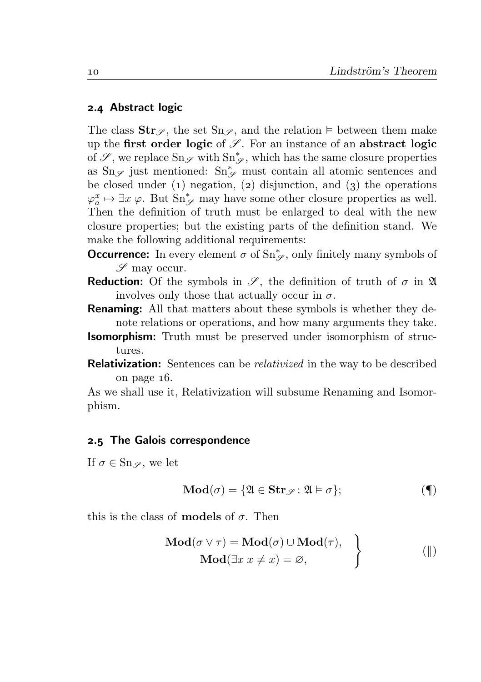# 2.4 Abstract logic

The class  $\text{Str}_{\mathscr{S}}$ , the set  $\text{Sn}_{\mathscr{S}}$ , and the relation  $\models$  between them make up the first order logic of  $\mathscr{S}$ . For an instance of an abstract logic of  $\mathscr{S},$  we replace  $\text{Sn}_{\mathscr{S}}$  with  $\text{Sn}_{\mathscr{S}}^{*}$ , which has the same closure properties as Sn $\mathcal{S}$  just mentioned: Sn<sup>\*</sup><sub>*S*</sub> must contain all atomic sentences and be closed under  $(1)$  negation,  $(2)$  disjunction, and  $(3)$  the operations  $\varphi_a^x \mapsto \exists x \; \varphi$ . But  $\text{Sn}_{\mathscr{S}}^*$  may have some other closure properties as well. Then the definition of truth must be enlarged to deal with the new closure properties; but the existing parts of the definition stand. We make the following additional requirements:

- **Occurrence:** In every element  $\sigma$  of  $\text{Sn}_{\mathscr{S}}^*$ , only finitely many symbols of  $\mathscr S$  may occur.
- **Reduction:** Of the symbols in  $\mathscr{S}$ , the definition of truth of  $\sigma$  in  $\mathfrak{A}$ involves only those that actually occur in  $\sigma$ .
- Renaming: All that matters about these symbols is whether they denote relations or operations, and how many arguments they take.
- **Isomorphism:** Truth must be preserved under isomorphism of structures.
- Relativization: Sentences can be *relativized* in the way to be described on page  $16$ .

As we shall use it, Relativization will subsume Renaming and Isomorphism.

#### 2.5 The Galois correspondence

If  $\sigma \in \text{Sn}_{\mathscr{D}}$ , we let

$$
\mathbf{Mod}(\sigma) = \{ \mathfrak{A} \in \mathbf{Str}_{\mathscr{S}} \colon \mathfrak{A} \models \sigma \};\tag{\P}
$$

this is the class of **models** of  $\sigma$ . Then

$$
\mathbf{Mod}(\sigma \vee \tau) = \mathbf{Mod}(\sigma) \cup \mathbf{Mod}(\tau),
$$
  
\n
$$
\mathbf{Mod}(\exists x \ x \neq x) = \varnothing,
$$
 (||)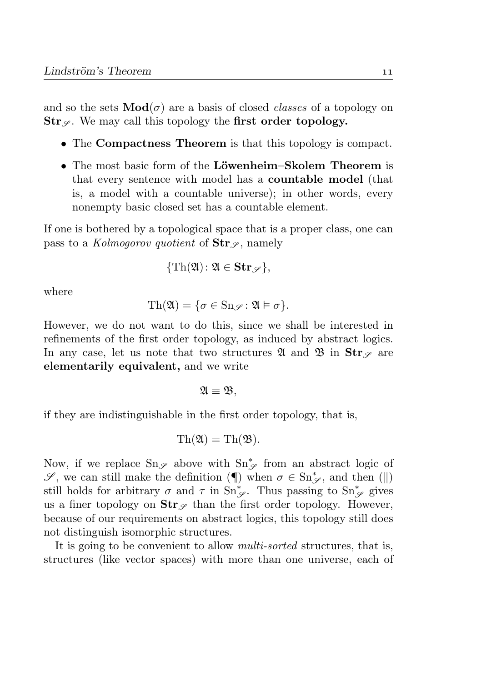and so the sets  $\text{Mod}(\sigma)$  are a basis of closed *classes* of a topology on  $\textbf{Str} \varphi$ . We may call this topology the first order topology.

- The **Compactness Theorem** is that this topology is compact.
- The most basic form of the Löwenheim–Skolem Theorem is that every sentence with model has a countable model (that is, a model with a countable universe); in other words, every nonempty basic closed set has a countable element.

If one is bothered by a topological space that is a proper class, one can pass to a Kolmogorov quotient of  $\text{Str}_{\mathscr{S}}$ , namely

$$
\{\operatorname{Th}(\mathfrak{A})\colon \mathfrak{A}\in \mathbf{Str}_{\mathscr{S}}\},
$$

where

$$
\mathrm{Th}(\mathfrak{A})=\{\sigma\in\mathrm{Sn}_{\mathscr{S}}\colon\mathfrak{A}\vDash\sigma\}.
$$

However, we do not want to do this, since we shall be interested in refinements of the first order topology, as induced by abstract logics. In any case, let us note that two structures  $\mathfrak A$  and  $\mathfrak B$  in  $\text{Str}_{\mathscr S}$  are elementarily equivalent, and we write

$$
\mathfrak{A}\equiv \mathfrak{B},
$$

if they are indistinguishable in the first order topology, that is,

$$
\mathrm{Th}(\mathfrak{A}) = \mathrm{Th}(\mathfrak{B}).
$$

Now, if we replace  $\text{Sn}_{\mathscr{S}}$  above with  $\text{Sn}_{\mathscr{S}}^{*}$  from an abstract logic of  $\mathscr{S},$  we can still make the definition  $(\P)$  when  $\sigma\in\text{Sn}^*_{\mathscr{S}},$  and then  $(\|)$ still holds for arbitrary  $\sigma$  and  $\tau$  in  $\text{Sn}_{\mathscr{S}}^{*}$ . Thus passing to  $\text{Sn}_{\mathscr{S}}^{*}$  gives us a finer topology on  $\text{Str}_{\mathscr{S}}$  than the first order topology. However, because of our requirements on abstract logics, this topology still does not distinguish isomorphic structures.

It is going to be convenient to allow *multi-sorted* structures, that is, structures (like vector spaces) with more than one universe, each of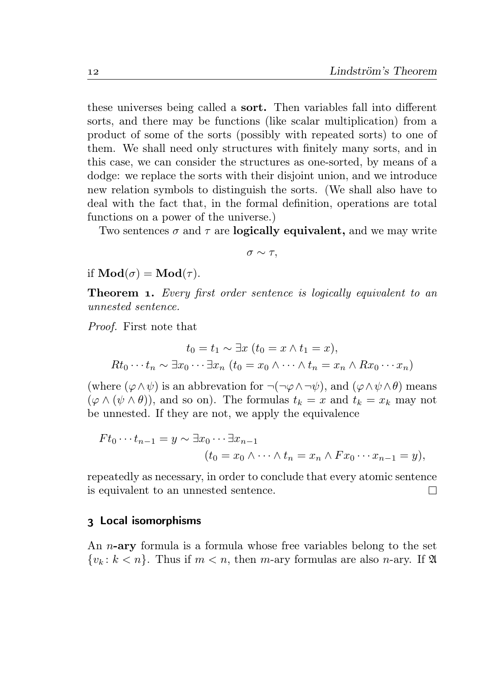these universes being called a sort. Then variables fall into different sorts, and there may be functions (like scalar multiplication) from a product of some of the sorts (possibly with repeated sorts) to one of them. We shall need only structures with finitely many sorts, and in this case, we can consider the structures as one-sorted, by means of a dodge: we replace the sorts with their disjoint union, and we introduce new relation symbols to distinguish the sorts. (We shall also have to deal with the fact that, in the formal definition, operations are total functions on a power of the universe.)

Two sentences  $\sigma$  and  $\tau$  are **logically equivalent**, and we may write

σ ∼ τ,

if  $\mathbf{Mod}(\sigma) = \mathbf{Mod}(\tau)$ .

**Theorem 1.** Every first order sentence is logically equivalent to an unnested sentence.

Proof. First note that

$$
t_0 = t_1 \sim \exists x \ (t_0 = x \land t_1 = x),
$$
  

$$
Rt_0 \cdots t_n \sim \exists x_0 \cdots \exists x_n \ (t_0 = x_0 \land \cdots \land t_n = x_n \land Rx_0 \cdots x_n)
$$

(where  $(\varphi \wedge \psi)$  is an abbrevation for  $\neg(\neg \varphi \wedge \neg \psi)$ , and  $(\varphi \wedge \psi \wedge \theta)$  means  $(\varphi \wedge (\psi \wedge \theta))$ , and so on). The formulas  $t_k = x$  and  $t_k = x_k$  may not be unnested. If they are not, we apply the equivalence

$$
F t_0 \cdots t_{n-1} = y \sim \exists x_0 \cdots \exists x_{n-1}
$$
  

$$
(t_0 = x_0 \wedge \cdots \wedge t_n = x_n \wedge F x_0 \cdots x_{n-1} = y),
$$

repeatedly as necessary, in order to conclude that every atomic sentence is equivalent to an unnested sentence.  $\Box$ 

#### Local isomorphisms

An  $n$ -ary formula is a formula whose free variables belong to the set  $\{v_k: k < n\}$ . Thus if  $m < n$ , then m-ary formulas are also n-ary. If  $\mathfrak{A}$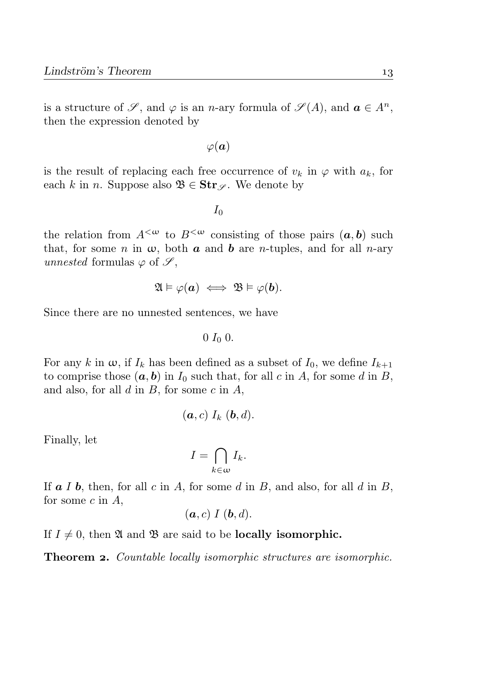is a structure of  $\mathscr{S}$ , and  $\varphi$  is an *n*-ary formula of  $\mathscr{S}(A)$ , and  $a \in A^n$ , then the expression denoted by

 $\varphi(\boldsymbol{a})$ 

is the result of replacing each free occurrence of  $v_k$  in  $\varphi$  with  $a_k$ , for each k in n. Suppose also  $\mathfrak{B} \in \mathbf{Str}_{\mathscr{S}}$ . We denote by

 $I_0$ 

the relation from  $A^{\langle \omega \rangle}$  to  $B^{\langle \omega \rangle}$  consisting of those pairs  $(a, b)$  such that, for some n in  $\omega$ , both  $\alpha$  and  $\beta$  are n-tuples, and for all n-ary unnested formulas  $\varphi$  of  $\mathscr{S},$ 

$$
\mathfrak{A} \vDash \varphi(\mathbf{a}) \iff \mathfrak{B} \vDash \varphi(\mathbf{b}).
$$

Since there are no unnested sentences, we have

 $0 I_0 0.$ 

For any k in  $\omega$ , if  $I_k$  has been defined as a subset of  $I_0$ , we define  $I_{k+1}$ to comprise those  $(a, b)$  in  $I_0$  such that, for all c in A, for some d in B, and also, for all  $d$  in  $B$ , for some  $c$  in  $A$ ,

$$
(\boldsymbol{a},c)\;I_k\;(\boldsymbol{b},d).
$$

Finally, let

$$
I=\bigcap_{k\in\omega}I_k.
$$

If  $\boldsymbol{a} I \boldsymbol{b}$ , then, for all c in A, for some d in B, and also, for all d in B, for some  $c$  in  $A$ ,

$$
(\boldsymbol{a},c)\,I\,(\boldsymbol{b},d).
$$

If  $I \neq 0$ , then  $\mathfrak A$  and  $\mathfrak B$  are said to be **locally isomorphic.** 

**Theorem 2.** Countable locally isomorphic structures are isomorphic.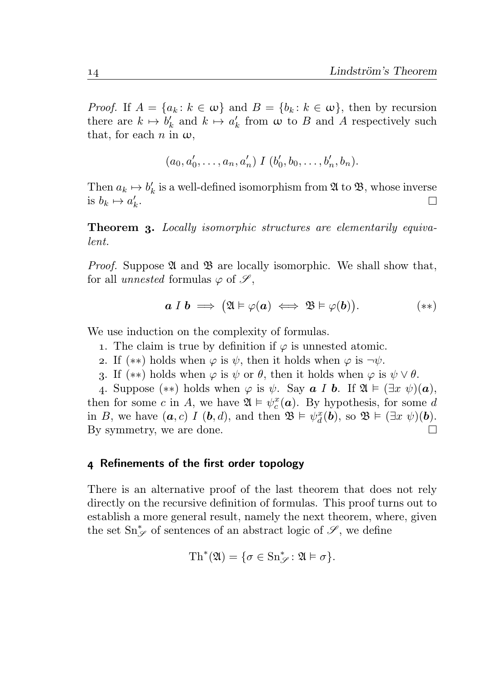*Proof.* If  $A = \{a_k : k \in \omega\}$  and  $B = \{b_k : k \in \omega\}$ , then by recursion there are  $k \mapsto b'_k$  and  $k \mapsto a'_k$  from  $\omega$  to B and A respectively such that, for each n in  $\omega$ .

$$
(a_0, a'_0, \ldots, a_n, a'_n) I (b'_0, b_0, \ldots, b'_n, b_n).
$$

Then  $a_k \mapsto b'_k$  is a well-defined isomorphism from  $\mathfrak{A}$  to  $\mathfrak{B}$ , whose inverse is  $b_k \mapsto a'_k$ .  $\Box$ 

**Theorem 3.** Locally isomorphic structures are elementarily equivalent.

*Proof.* Suppose  $\mathfrak A$  and  $\mathfrak B$  are locally isomorphic. We shall show that, for all *unnested* formulas  $\varphi$  of  $\mathscr{S}$ ,

$$
a I b \implies (\mathfrak{A} \models \varphi(a) \iff \mathfrak{B} \models \varphi(b)). \tag{**}
$$

We use induction on the complexity of formulas.

- 1. The claim is true by definition if  $\varphi$  is unnested atomic.
- 2. If  $(**)$  holds when  $\varphi$  is  $\psi$ , then it holds when  $\varphi$  is  $\neg \psi$ .
- 3. If  $(**)$  holds when  $\varphi$  is  $\psi$  or  $\theta$ , then it holds when  $\varphi$  is  $\psi \vee \theta$ .

4. Suppose (\*\*) holds when  $\varphi$  is  $\psi$ . Say  $\boldsymbol{a} \, I \, \boldsymbol{b}$ . If  $\mathfrak{A} \models (\exists x \, \psi)(\boldsymbol{a})$ , then for some c in A, we have  $\mathfrak{A} \models \psi_c^x(\mathbf{a})$ . By hypothesis, for some d in B, we have  $(a, c) I (b, d)$ , and then  $\mathfrak{B} \models \psi_d^x(b)$ , so  $\mathfrak{B} \models (\exists x \ \psi)(b)$ . By symmetry, we are done.  $\Box$ 

#### Refinements of the first order topology

There is an alternative proof of the last theorem that does not rely directly on the recursive definition of formulas. This proof turns out to establish a more general result, namely the next theorem, where, given the set  $\text{Sn}_{\mathscr{S}}^{*}$  of sentences of an abstract logic of  $\mathscr{S},$  we define

$$
\mathrm{Th}^*(\mathfrak{A})=\{\sigma\in\mathrm{Sn}^*_{\mathscr{S}}\colon \mathfrak{A}\vDash\sigma\}.
$$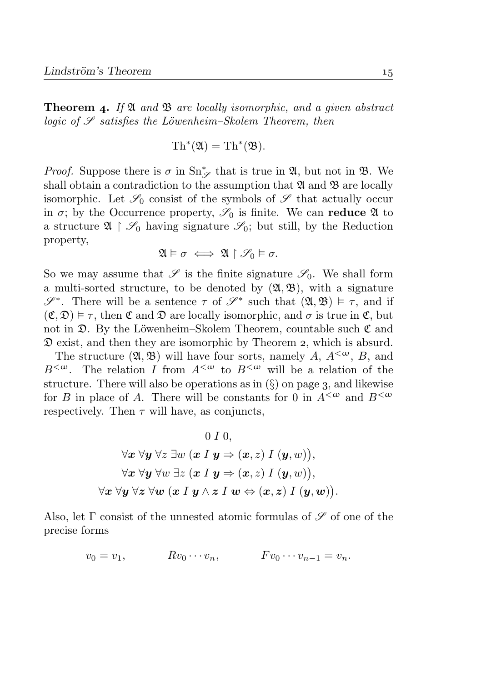**Theorem 4.** If  $\mathfrak{A}$  and  $\mathfrak{B}$  are locally isomorphic, and a given abstract logic of  $\mathscr S$  satisfies the Löwenheim–Skolem Theorem, then

$$
\operatorname{Th}^*(\mathfrak{A}) = \operatorname{Th}^*(\mathfrak{B}).
$$

*Proof.* Suppose there is  $\sigma$  in  $\text{Sn}_{\mathscr{S}}^*$  that is true in  $\mathfrak{A}$ , but not in  $\mathfrak{B}$ . We shall obtain a contradiction to the assumption that  $\mathfrak A$  and  $\mathfrak B$  are locally isomorphic. Let  $\mathscr{S}_0$  consist of the symbols of  $\mathscr{S}$  that actually occur in  $\sigma$ ; by the Occurrence property,  $\mathscr{S}_0$  is finite. We can reduce  $\mathfrak A$  to a structure  $\mathfrak{A} \restriction \mathscr{S}_0$  having signature  $\mathscr{S}_0$ ; but still, by the Reduction property,

$$
\mathfrak{A} \models \sigma \iff \mathfrak{A} \restriction \mathscr{S}_0 \vDash \sigma.
$$

So we may assume that  $\mathscr S$  is the finite signature  $\mathscr S_0$ . We shall form a multi-sorted structure, to be denoted by  $(\mathfrak{A}, \mathfrak{B})$ , with a signature  $\mathscr{S}^*$ . There will be a sentence  $\tau$  of  $\mathscr{S}^*$  such that  $(\mathfrak{A}, \mathfrak{B}) \models \tau$ , and if  $(\mathfrak{C}, \mathfrak{D}) \models \tau$ , then  $\mathfrak{C}$  and  $\mathfrak{D}$  are locally isomorphic, and  $\sigma$  is true in  $\mathfrak{C}$ , but not in  $\mathfrak{D}$ . By the Löwenheim–Skolem Theorem, countable such  $\mathfrak{C}$  and  $\mathfrak D$  exist, and then they are isomorphic by Theorem 2, which is absurd.

The structure  $(\mathfrak{A}, \mathfrak{B})$  will have four sorts, namely A,  $A^{\langle \omega \rangle}$ , B, and  $B^{\langle\omega\rangle}$ . The relation I from  $A^{\langle\omega\rangle}$  to  $B^{\langle\omega\rangle}$  will be a relation of the structure. There will also be operations as in  $(\S)$  on page 3, and likewise for B in place of A. There will be constants for 0 in  $A^{\langle\omega\rangle}$  and  $B^{\langle\omega\rangle}$ respectively. Then  $\tau$  will have, as conjuncts,

$$
0 I 0,
$$
  
\n
$$
\forall x \forall y \forall z \exists w \ (x I y \Rightarrow (x, z) I (y, w)),
$$
  
\n
$$
\forall x \forall y \forall w \exists z (x I y \Rightarrow (x, z) I (y, w)),
$$
  
\n
$$
\forall x \forall y \forall z \forall w (x I y \land z I w \Leftrightarrow (x, z) I (y, w)).
$$

Also, let  $\Gamma$  consist of the unnested atomic formulas of  $\mathscr S$  of one of the precise forms

$$
v_0 = v_1, \qquad Rv_0 \cdots v_n, \qquad Fv_0 \cdots v_{n-1} = v_n.
$$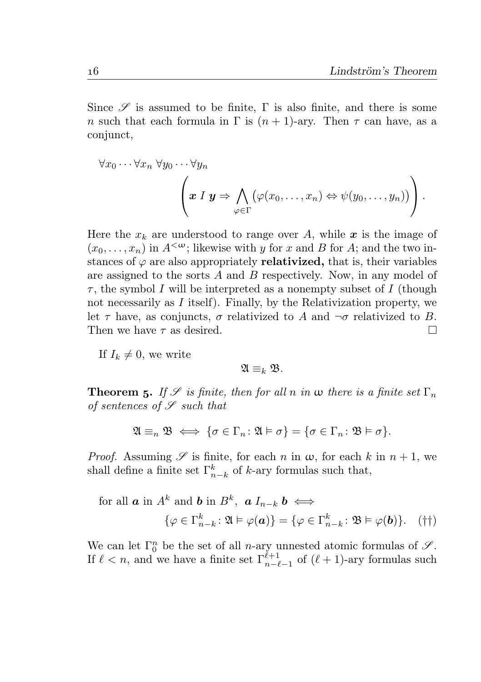Since  $\mathscr S$  is assumed to be finite. Γ is also finite, and there is some n such that each formula in  $\Gamma$  is  $(n + 1)$ -ary. Then  $\tau$  can have, as a conjunct,

$$
\forall x_0 \cdots \forall x_n \ \forall y_0 \cdots \forall y_n
$$

$$
\left( \boldsymbol{x} \mid \boldsymbol{y} \Rightarrow \bigwedge_{\varphi \in \Gamma} (\varphi(x_0, \ldots, x_n) \Leftrightarrow \psi(y_0, \ldots, y_n)) \right).
$$

Here the  $x_k$  are understood to range over A, while x is the image of  $(x_0, \ldots, x_n)$  in  $A^{\langle\omega\rangle}$ ; likewise with y for x and B for A; and the two instances of  $\varphi$  are also appropriately **relativized**, that is, their variables are assigned to the sorts A and B respectively. Now, in any model of  $\tau$ , the symbol I will be interpreted as a nonempty subset of I (though not necessarily as  $I$  itself). Finally, by the Relativization property, we let  $\tau$  have, as conjuncts,  $\sigma$  relativized to A and  $\neg \sigma$  relativized to B. Then we have  $\tau$  as desired.  $\Box$ 

If  $I_k \neq 0$ , we write

$$
\mathfrak{A} \equiv_k \mathfrak{B}.
$$

**Theorem 5.** If  $\mathscr S$  is finite, then for all n in  $\omega$  there is a finite set  $\Gamma_n$ of sentences of  $\mathscr S$  such that

$$
\mathfrak{A} \equiv_n \mathfrak{B} \iff \{\sigma \in \Gamma_n : \mathfrak{A} \models \sigma\} = \{\sigma \in \Gamma_n : \mathfrak{B} \models \sigma\}.
$$

*Proof.* Assuming  $\mathscr S$  is finite, for each n in  $\omega$ , for each k in  $n+1$ , we shall define a finite set  $\Gamma_{n-k}^k$  of k-ary formulas such that,

for all **a** in 
$$
A^k
$$
 and **b** in  $B^k$ , **a**  $I_{n-k}$  **b**  $\iff$   
\n
$$
\{\varphi \in \Gamma_{n-k}^k : \mathfrak{A} \models \varphi(\mathbf{a})\} = \{\varphi \in \Gamma_{n-k}^k : \mathfrak{B} \models \varphi(\mathbf{b})\}. \quad (\dagger \dagger)
$$

We can let  $\Gamma_0^n$  be the set of all *n*-ary unnested atomic formulas of  $\mathscr{S}$ . If  $\ell < n$ , and we have a finite set  $\Gamma_{n-\ell-1}^{\ell+1}$  of  $(\ell+1)$ -ary formulas such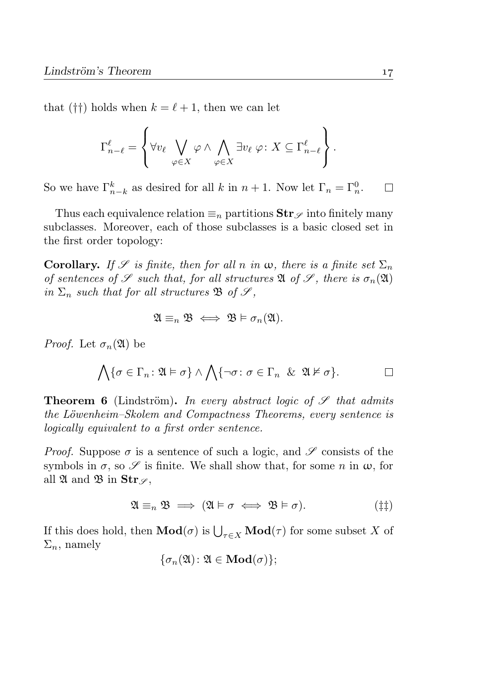that (††) holds when  $k = \ell + 1$ , then we can let

$$
\Gamma_{n-\ell}^\ell=\left\{\forall v_\ell\ \bigvee_{\varphi\in X}\varphi\wedge\bigwedge_{\varphi\in X}\exists v_\ell\ \varphi\colon X\subseteq\Gamma_{n-\ell}^\ell\right\}.
$$

So we have  $\Gamma_{n-k}^k$  as desired for all k in  $n+1$ . Now let  $\Gamma_n = \Gamma_n^0$ .  $\Box$ 

Thus each equivalence relation  $\equiv_n$  partitions  $\text{Str}_{\mathscr{S}}$  into finitely many subclasses. Moreover, each of those subclasses is a basic closed set in the first order topology:

**Corollary.** If S is finite, then for all n in  $\omega$ , there is a finite set  $\Sigma_n$ of sentences of  $\mathscr S$  such that, for all structures  $\mathfrak A$  of  $\mathscr S$ , there is  $\sigma_n(\mathfrak A)$ in  $\Sigma_n$  such that for all structures  $\mathfrak{B}$  of  $\mathscr{S}_n$ ,

$$
\mathfrak{A} \equiv_n \mathfrak{B} \iff \mathfrak{B} \models \sigma_n(\mathfrak{A}).
$$

*Proof.* Let  $\sigma_n(\mathfrak{A})$  be

$$
\bigwedge \{\sigma \in \Gamma_n : \mathfrak{A} \models \sigma\} \wedge \bigwedge \{\neg \sigma : \sigma \in \Gamma_n \& \mathfrak{A} \nvDash \sigma\}.
$$

**Theorem 6** (Lindström). In every abstract logic of  $\mathscr S$  that admits the Löwenheim–Skolem and Compactness Theorems, every sentence is logically equivalent to a first order sentence.

*Proof.* Suppose  $\sigma$  is a sentence of such a logic, and  $\mathscr S$  consists of the symbols in  $\sigma$ , so  $\mathscr S$  is finite. We shall show that, for some n in  $\omega$ , for all 24 and 28 in  $\text{Str}_{\mathscr{S}}$ ,

$$
\mathfrak{A} \equiv_n \mathfrak{B} \implies (\mathfrak{A} \models \sigma \iff \mathfrak{B} \models \sigma). \tag{11}
$$

If this does hold, then  $\text{Mod}(\sigma)$  is  $\bigcup_{\tau \in X} \text{Mod}(\tau)$  for some subset X of  $\Sigma_n$ , namely

$$
\{\sigma_n(\mathfrak{A})\colon \mathfrak{A}\in \mathbf{Mod}(\sigma)\};
$$